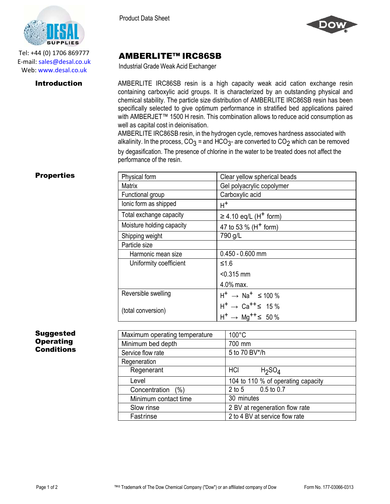

Tel: +44 (0) 1706 869777 E‐mail: sales@desal.co.uk Web: www.desal.co.uk

Product Data Sheet



## AMBERLITE™ IRC86SB

Industrial Grade Weak Acid Exchanger

- chemical stability. The particle size distribution of AMBERLITE IRC86SB resin has been **Introduction** AMBERLITE IRC86SB resin is a high capacity weak acid cation exchange resin containing carboxylic acid groups. It is characterized by an outstanding physical and specifically selected to give optimum performance in stratified bed applications paired with AMBERJET<sup>™</sup> 1500 H resin. This combination allows to reduce acid consumption as well as capital cost in deionisation.

> AMBERLITE IRC86SB resin, in the hydrogen cycle, removes hardness associated with alkalinity. In the process, CO $_3$  = and HCO $_3$ - are converted to CO $_2$  which can be removed by degasification. The presence of chlorine in the water to be treated does not affect the performance of the resin.

## **Properties**

| Physical form             | Clear yellow spherical beads                     |
|---------------------------|--------------------------------------------------|
| Matrix                    | Gel polyacrylic copolymer                        |
| Functional group          | Carboxylic acid                                  |
| lonic form as shipped     | $H^+$                                            |
| Total exchange capacity   | $\geq$ 4.10 eq/L (H <sup>+</sup> form)           |
| Moisture holding capacity | 47 to 53 % (H <sup>+</sup> form)                 |
| Shipping weight           | 790 g/L                                          |
| Particle size             |                                                  |
| Harmonic mean size        | $0.450 - 0.600$ mm                               |
| Uniformity coefficient    | ≤1.6                                             |
|                           | $< 0.315$ mm                                     |
|                           | 4.0% max.                                        |
| Reversible swelling       | $H^+$ $\rightarrow$ Na <sup>+</sup> $\leq$ 100 % |
| (total conversion)        | $H^+ \to Ca^{++} \leq 15\%$                      |
|                           | $H^+$ $\rightarrow$ Mg <sup>++</sup> $\leq$ 50%  |

## Suggested **Operating Conditions**

| Maximum operating temperature | $100^{\circ}$ C                    |
|-------------------------------|------------------------------------|
| Minimum bed depth             | 700 mm                             |
| Service flow rate             | 5 to 70 BV*/h                      |
| Regeneration                  |                                    |
| Regenerant                    | HCI<br>$H_2SO_4$                   |
| Level                         | 104 to 110 % of operating capacity |
| Concentration<br>(% )         | $0.5$ to $0.7$<br>$2$ to 5         |
| Minimum contact time          | 30 minutes                         |
| Slow rinse                    | 2 BV at regeneration flow rate     |
| Fastrinse                     | 2 to 4 BV at service flow rate     |